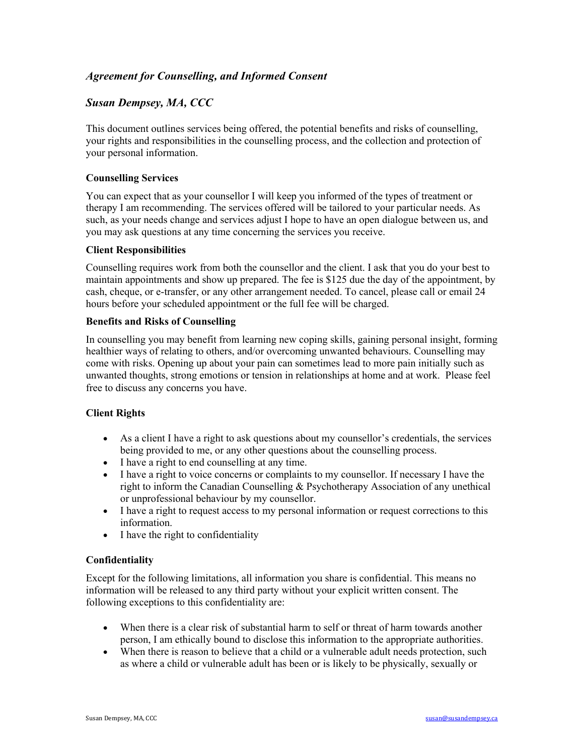# *Agreement for Counselling, and Informed Consent*

## *Susan Dempsey, MA, CCC*

This document outlines services being offered, the potential benefits and risks of counselling, your rights and responsibilities in the counselling process, and the collection and protection of your personal information.

## **Counselling Services**

You can expect that as your counsellor I will keep you informed of the types of treatment or therapy I am recommending. The services offered will be tailored to your particular needs. As such, as your needs change and services adjust I hope to have an open dialogue between us, and you may ask questions at any time concerning the services you receive.

## **Client Responsibilities**

Counselling requires work from both the counsellor and the client. I ask that you do your best to maintain appointments and show up prepared. The fee is \$125 due the day of the appointment, by cash, cheque, or e-transfer, or any other arrangement needed. To cancel, please call or email 24 hours before your scheduled appointment or the full fee will be charged.

#### **Benefits and Risks of Counselling**

In counselling you may benefit from learning new coping skills, gaining personal insight, forming healthier ways of relating to others, and/or overcoming unwanted behaviours. Counselling may come with risks. Opening up about your pain can sometimes lead to more pain initially such as unwanted thoughts, strong emotions or tension in relationships at home and at work. Please feel free to discuss any concerns you have.

## **Client Rights**

- As a client I have a right to ask questions about my counsellor's credentials, the services being provided to me, or any other questions about the counselling process.
- I have a right to end counselling at any time.
- I have a right to voice concerns or complaints to my counsellor. If necessary I have the right to inform the Canadian Counselling & Psychotherapy Association of any unethical or unprofessional behaviour by my counsellor.
- I have a right to request access to my personal information or request corrections to this information.
- I have the right to confidentiality

## **Confidentiality**

Except for the following limitations, all information you share is confidential. This means no information will be released to any third party without your explicit written consent. The following exceptions to this confidentiality are:

- When there is a clear risk of substantial harm to self or threat of harm towards another person, I am ethically bound to disclose this information to the appropriate authorities.
- When there is reason to believe that a child or a vulnerable adult needs protection, such as where a child or vulnerable adult has been or is likely to be physically, sexually or